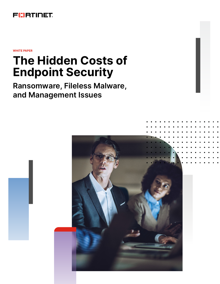

**WHITE PAPER**

# **The Hidden Costs of Endpoint Security**

**Ransomware, Fileless Malware, and Management Issues**

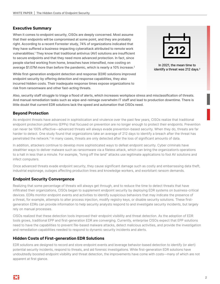## **Executive Summary**

When it comes to endpoint security, CISOs are deeply concerned. Most assume that their endpoints will be compromised at some point, and they are probably right. According to a recent Forrester study, 74% of organizations indicated that they have suffered a business-impacting cyberattack attributed to remote work vulnerabilities.1 They know that traditional antivirus (AV) solutions are insufficient to secure endpoints and that they need more advanced protection. In fact, since people started working from home, breaches have intensified, now costing on average \$1.07M more than before the pandemic, which is nearly a 10% increase.<sup>2</sup>

While first-generation endpoint detection and response (EDR) solutions improved endpoint security by offering detection and response capabilities, they also incurred hidden costs. Their inadequate response times expose organizations to risk from ransomware and other fast-acting threats.



In 2021, the mean time to identify a threat was 212 days.<sup>3</sup>

Also, security staff struggle to triage a flood of alerts, which increases workplace stress and misclassification of threats. And manual remediation tasks such as wipe-and-reimage overwhelm IT staff and lead to production downtime. There is little doubt that current EDR solutions lack the speed and automation that CISOs need.

# **Beyond Protection**

As endpoint threats have advanced in sophistication and virulence over the past few years, CISOs realize that traditional endpoint protection platforms (EPPs) that focused on prevention are no longer enough to protect their endpoints. Prevention can never be 100% effective—advanced threats will always evade prevention-based security. When they do, threats are far harder to detect. One study found that organizations take an average of 212 days to identify a breach after the threat has penetrated the network.4 In many cases, threats are only detected after the loss of significant amounts of data.

In addition, attackers continue to develop more sophisticated ways to defeat endpoint security. Cyber criminals have stealthier ways to deliver malware such as ransomware via a fileless attack, which can bring the organization's operations to a halt in less than a minute. For example, "living off the land" attacks use legitimate applications to fool AV solutions and infect computers.

Once advanced threats evade endpoint security, they cause significant damage such as costly and embarrassing data theft, industrial espionage, outages affecting production lines and knowledge workers, and exorbitant ransom demands.

# **Endpoint Security Convergence**

Realizing that some percentage of threats will always get through, and to reduce the time to detect threats that have infiltrated their organizations, CISOs began to supplement endpoint security by deploying EDR systems on business-critical devices. EDRs monitor endpoint events and activities to identify suspicious behaviors that may indicate the presence of a threat, for example, attempts to alter process injection, modify registry keys, or disable security solutions. These firstgeneration EDRs can provide information to help security analysts respond to and investigate security incidents, but largely rely on manual processes.

CISOs realized that these detection tools improved their endpoint visibility and threat detection. As the adoption of EDR tools grows, traditional EPP and first-generation EDR are converging. Currently, enterprise CISOs expect that EPP solutions need to have the capabilities to prevent file-based malware attacks, detect malicious activities, and provide the investigation and remediation capabilities needed to respond to dynamic security incidents and alerts.

# **Hidden Costs of First-generation EDR Solutions**

EDR solutions are designed to record and store endpoint events and leverage behavior-based detection to identify (or alert) potential security incidents, respond to threats, and aid forensic investigations. While first-generation EDR solutions have undoubtedly boosted endpoint visibility and threat detection, the improvements have come with costs—many of which are not apparent at first glance.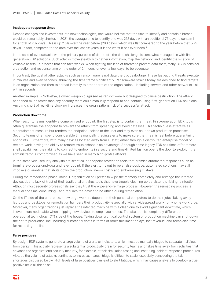#### **Inadequate response times**

Despite changes and investments into new technologies, one would believe that the time to identify and contain a breach would be remarkably shorter. In 2021, the average time to identify one was 212 days with an additional 75 days to contain in for a total of 287 days. This is up 2.5% over the year before (280 days), which was flat compared to the year before that (279 days). In fact, compared to the data over the last six years, it is the worst it has ever been.<sup>5</sup>

In the case of cyberattacks with the primary purpose of data theft, the time challenge is somewhat manageable with firstgeneration EDR solutions. Such attacks move stealthily to gather information, map the network, and identify the location of valuable assets—a process that can take weeks. When fighting this kind of threats to prevent data theft, many CISOs consider a detection and response time on the order of 24 hours, or even a few days, to be adequate.

In contrast, the goal of other attacks such as ransomware is not data theft but sabotage. These fast-acting threats execute in minutes and even seconds, shrinking the time frame significantly. Ransomware strains today are designed to find targets in an organization and then to spread laterally to other parts of the organization—including servers and other networks—all within seconds.

Another example is NotPetya, a cyber weapon disguised as ransomware but designed to cause destruction. The attack happened much faster than any security team could manually respond to and contain using first-generation EDR solutions. Anything short of real-time blocking increases the organization's risk of a successful attack.

#### **Production downtime**

When security teams identify a compromised endpoint, the first step is to contain the threat. First-generation EDR tools often quarantine the endpoint to prevent the attack from spreading and avoid data loss. This technique is effective as a containment measure but renders the endpoint useless to the user and may even shut down production processes. Security teams often spend considerable time manually triaging alerts to make sure the threat is real before quarantining endpoints. Furthermore, with many devices located away from IT staff, either through a distributed enterprise model or remote work, having the ability to remote troubleshoot is an advantage. Although some legacy EDR solutions offer remote shell capabilities, their ability to connect to endpoints in a secure and time-limited fashion opens the door to exploit if the administrator is compromised as we have seen in many high-profile attacks.

In the same vein, security analysts are skeptical of endpoint protection tools that promise automated responses such as terminate-process-and-quarantine-endpoint. If the alert turns out to be a false positive, automated solutions may still impose a quarantine that shuts down the production line—a costly and embarrassing mistake.

During the remediation phase, most IT organization still prefer to wipe the memory completely and reimage the infected device, due to lack of trust of their traditional antivirus tools that have trouble cleaning up persistency, risking reinfection. Although most security professionals say they trust the wipe-and-reimage process. However, the reimaging process is manual and time-consuming—and requires the device to be offline during remediation.

On the IT side of the enterprise, knowledge workers depend on their personal computers to do their jobs. Taking away laptops and desktops for remediation hampers their productivity, especially with a widespread work-from-home workforce. Moreover, many organizations just replace the infected machine with a clean one to avoid significant downtime, which is even more noticeable when shipping new devices to employee homes. The situation is completely different on the operational technology (OT) side of the house. Taking down a critical control system or production machine can shut down the entire production line, incurring substantial costs in terms of order fulfillment delays, lost revenue, and technician time for restarting the line.

#### **False positives**

By design, EDR systems generate a large volume of alerts or indicators, which must be manually triaged to separate malicious from benign. This activity represents a substantial productivity drain for security teams and takes time away from activities that advance the organization's security maturity, for example, attack simulation testing and instituting incident-response procedures. Also, as the volume of attacks continues to increase, manual triage is difficult to scale, especially considering the talent shortages discussed below. High levels of false positives can lead to alert fatigue, which may cause analysts to overlook a true positive amid all the noise.